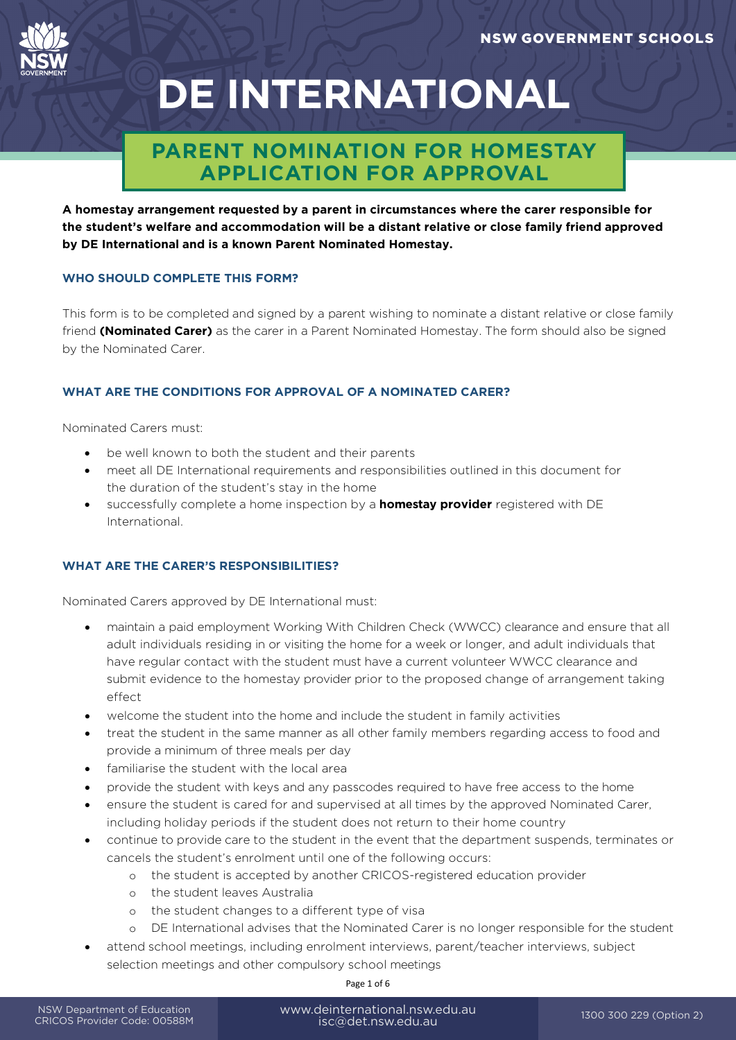

# **DE INTERNATIONAL**

## **PARENT NOMINATION FOR HOMESTAY APPLICATION FOR APPROVAL**

**A homestay arrangement requested by a parent in circumstances where the carer responsible for the student's welfare and accommodation will be a distant relative or close family friend approved by DE International and is a known Parent Nominated Homestay.** 

#### **WHO SHOULD COMPLETE THIS FORM?**

This form is to be completed and signed by a parent wishing to nominate a distant relative or close family friend **(Nominated Carer)** as the carer in a Parent Nominated Homestay. The form should also be signed by the Nominated Carer.

#### **WHAT ARE THE CONDITIONS FOR APPROVAL OF A NOMINATED CARER?**

Nominated Carers must:

- be well known to both the student and their parents
- meet all DE International requirements and responsibilities outlined in this document for the duration of the student's stay in the home
- successfully complete a home inspection by a **[homestay](https://www.deinternational.nsw.edu.au/__data/assets/pdf_file/0017/16352/Homestay-Providers-Contact-Details.pdf) provider** registered with DE International.

#### **WHAT ARE THE CARER'S RESPONSIBILITIES?**

Nominated Carers approved by DE International must:

- maintain a paid employment Working With Children Check (WWCC) clearance and ensure that all adult individuals residing in or visiting the home for a week or longer, and adult individuals that have regular contact with the student must have a current volunteer WWCC clearance and submit evidence to the homestay provider prior to the proposed change of arrangement taking effect
- welcome the student into the home and include the student in family activities
- treat the student in the same manner as all other family members regarding access to food and provide a minimum of three meals per day
- familiarise the student with the local area
- provide the student with keys and any passcodes required to have free access to the home
- ensure the student is cared for and supervised at all times by the approved Nominated Carer, including holiday periods if the student does not return to their home country
- continue to provide care to the student in the event that the department suspends, terminates or cancels the student's enrolment until one of the following occurs:
	- o the student is accepted by another CRICOS-registered education provider
	- o the student leaves Australia
	- o the student changes to a different type of visa
	- o DE International advises that the Nominated Carer is no longer responsible for the student
- attend school meetings, including enrolment interviews, parent/teacher interviews, subject selection meetings and other compulsory school meetings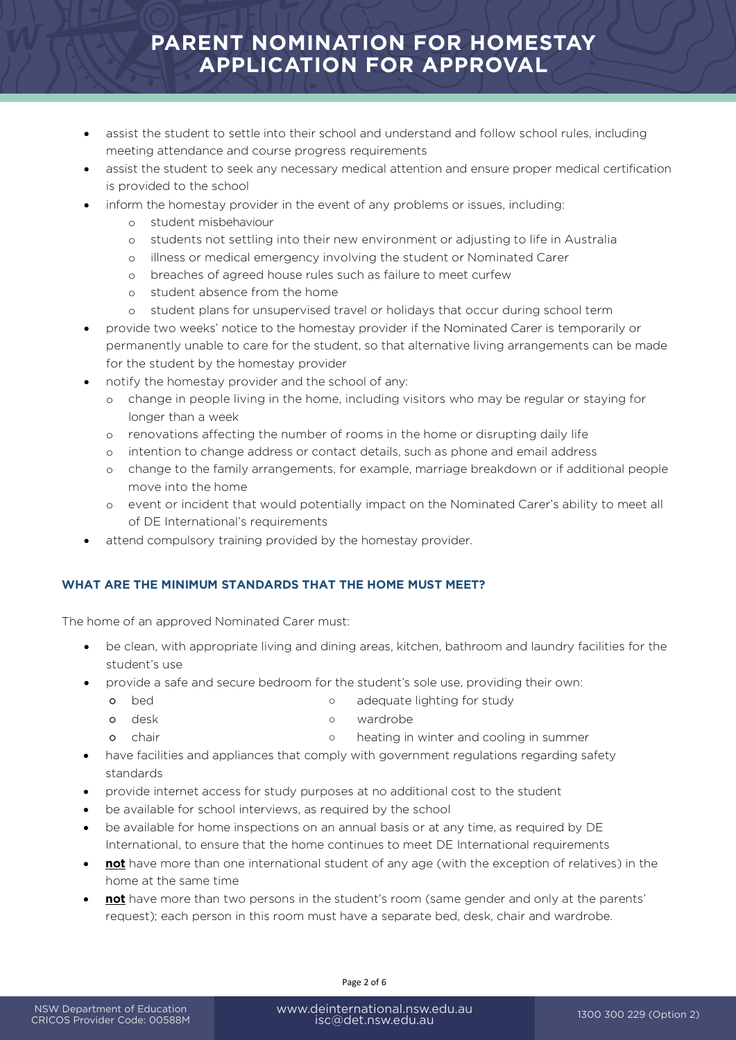## **PARENT NOMINATION FOR HOMESTAY APPLICATION FOR APPROVAL**

- assist the student to settle into their school and understand and follow school rules, including meeting attendance and course progress requirements
- assist the student to seek any necessary medical attention and ensure proper medical certification is provided to the school
- inform the homestay provider in the event of any problems or issues, including:
	- o student misbehaviour
	- o students not settling into their new environment or adjusting to life in Australia
	- o illness or medical emergency involving the student or Nominated Carer
	- o breaches of agreed house rules such as failure to meet curfew
	- o student absence from the home
	- o student plans for unsupervised travel or holidays that occur during school term
- provide two weeks' notice to the homestay provider if the Nominated Carer is temporarily or permanently unable to care for the student, so that alternative living arrangements can be made for the student by the homestay provider
- notify the homestay provider and the school of any:
	- o change in people living in the home, including visitors who may be regular or staying for longer than a week
	- o renovations affecting the number of rooms in the home or disrupting daily life
	- o intention to change address or contact details, such as phone and email address
	- o change to the family arrangements, for example, marriage breakdown or if additional people move into the home
	- o event or incident that would potentially impact on the Nominated Carer's ability to meet all of DE International's requirements
- attend compulsory training provided by the homestay provider.

#### **WHAT ARE THE MINIMUM STANDARDS THAT THE HOME MUST MEET?**

The home of an approved Nominated Carer must:

- be clean, with appropriate living and dining areas, kitchen, bathroom and laundry facilities for the student's use
- provide a safe and secure bedroom for the student's sole use, providing their own:
	- o bed **bed bed bed bed bed o** adequate lighting for study
	- o desk by a wardrobe
	- o chair **business** o heating in winter and cooling in summer
- have facilities and appliances that comply with government regulations regarding safety standards
- provide internet access for study purposes at no additional cost to the student
- be available for school interviews, as required by the school
- be available for home inspections on an annual basis or at any time, as required by DE International, to ensure that the home continues to meet DE International requirements
- **not** have more than one international student of any age (with the exception of relatives) in the home at the same time
- **not** have more than two persons in the student's room (same gender and only at the parents' request); each person in this room must have a separate bed, desk, chair and wardrobe.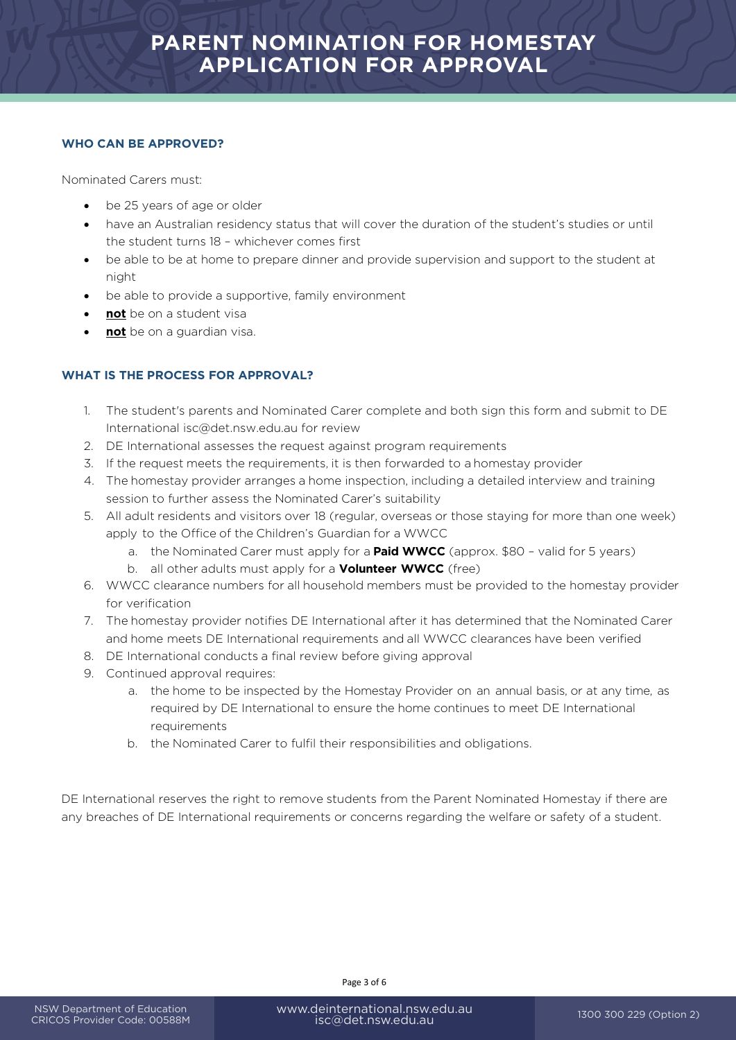#### **WHO CAN BE APPROVED?**

Nominated Carers must:

- be 25 years of age or older
- have an Australian residency status that will cover the duration of the student's studies or until the student turns 18 – whichever comes first
- be able to be at home to prepare dinner and provide supervision and support to the student at night
- be able to provide a supportive, family environment
- **not** be on a student visa
- **not** be on a guardian visa.

#### **WHAT IS THE PROCESS FOR APPROVAL?**

- 1. The student's parents and Nominated Carer complete and both sign this form and submit to DE Internationa[l isc@det.nsw.edu.au](mailto:isc%40det.nsw.edu.au%0D?subject=) for review
- 2. DE International assesses the request against program requirements
- 3. If the request meets the requirements, it is then forwarded to a homestay provider
- 4. The homestay provider arranges a home inspection, including a detailed interview and training session to further assess the Nominated Carer's suitability
- 5. All adult residents and visitors over 18 (regular, overseas or those staying for more than one week) apply to the Office of the Children's Guardian for a WWCC
	- a. the Nominated Carer must apply for a **Paid WWCC** (approx. \$80 valid for 5 years)
	- b. all other adults must apply for a **Volunteer WWCC** (free)
- 6. WWCC clearance numbers for all household members must be provided to the homestay provider for verification
- 7. The homestay provider notifies DE International after it has determined that the Nominated Carer and home meets DE International requirements and all WWCC clearances have been verified
- 8. DE International conducts a final review before giving approval
- 9. Continued approval requires:
	- a. the home to be inspected by the Homestay Provider on an annual basis, or at any time, as required by DE International to ensure the home continues to meet DE International requirements
	- b. the Nominated Carer to fulfil their responsibilities and obligations.

DE International reserves the right to remove students from the Parent Nominated Homestay if there are any breaches of DE International requirements or concerns regarding the welfare or safety of a student.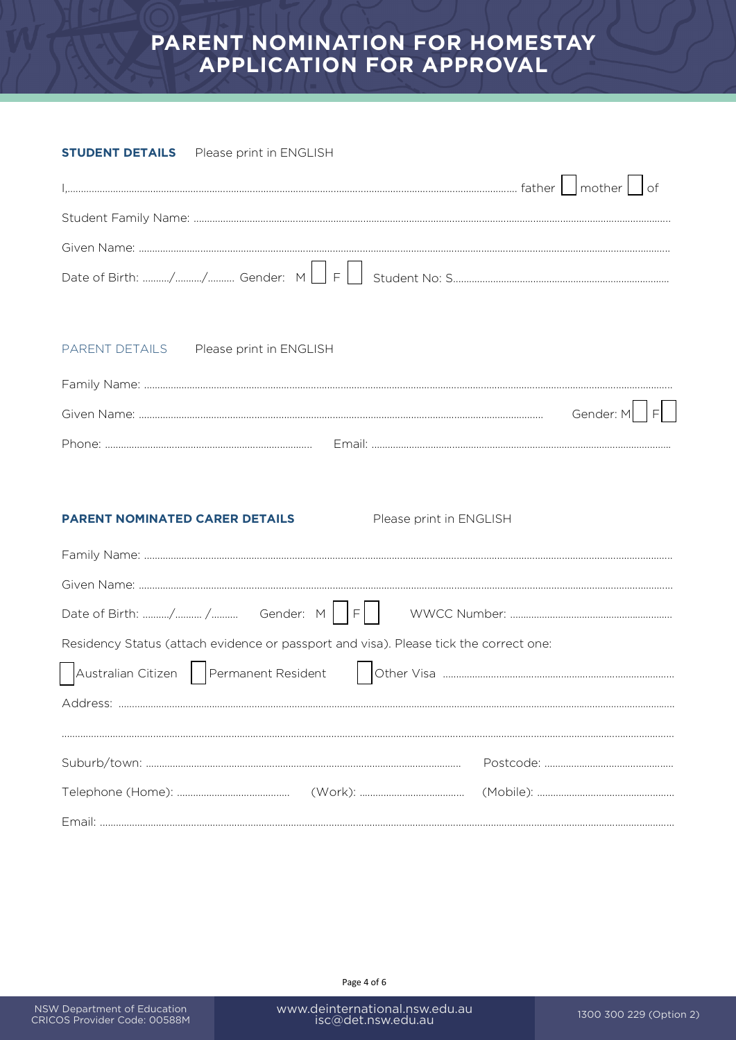## PARENT NOMINATION FOR HOMESTAY **APPLICATION FOR APPROVAL**

#### **STUDENT DETAILS** Please print in ENGLISH

|                                                                                       | of        |
|---------------------------------------------------------------------------------------|-----------|
|                                                                                       |           |
|                                                                                       |           |
|                                                                                       |           |
| PARENT DETAILS Please print in ENGLISH                                                |           |
|                                                                                       |           |
|                                                                                       | Gender: M |
|                                                                                       |           |
|                                                                                       |           |
| <b>PARENT NOMINATED CARER DETAILS</b><br>Please print in ENGLISH                      |           |
|                                                                                       |           |
|                                                                                       |           |
|                                                                                       |           |
| Residency Status (attach evidence or passport and visa). Please tick the correct one: |           |
| Australian Citizen   Permanent Resident                                               |           |
|                                                                                       |           |
|                                                                                       |           |
|                                                                                       |           |
|                                                                                       |           |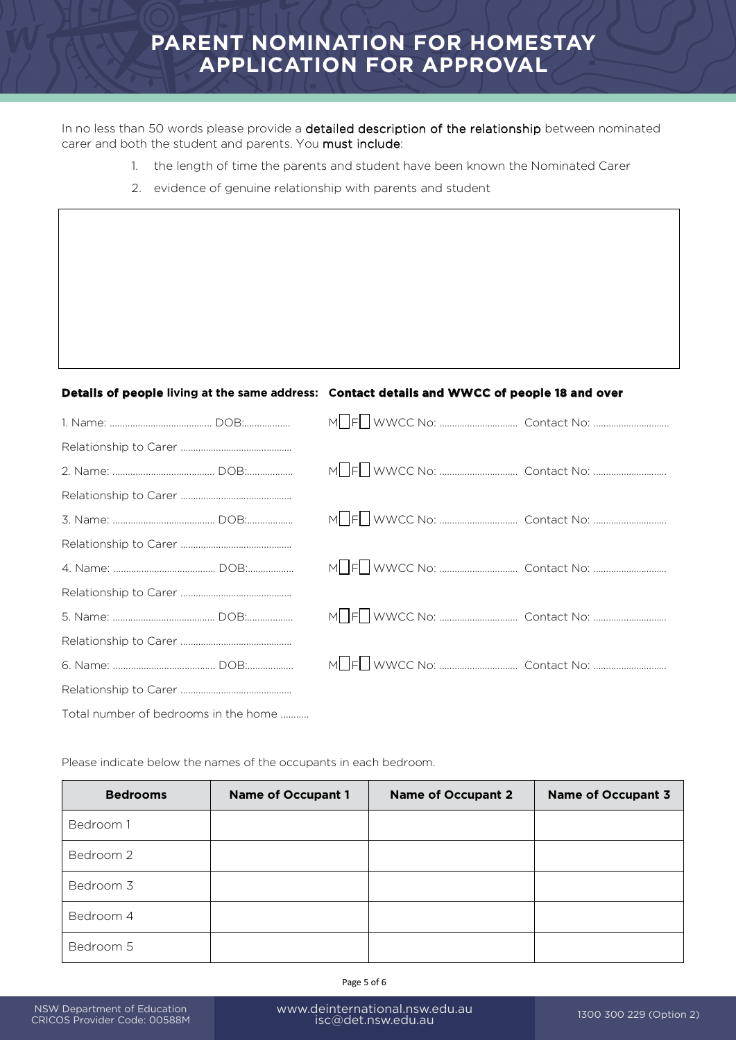## **PARENT NOMINATION FOR HOMESTAY APPLICATION FOR APPROVAL**

In no less than 50 words please provide a detailed description of the relationship between nominated carer and both the student and parents. You must include:

- 1. the length of time the parents and student have been known the Nominated Carer
- 2. evidence of genuine relationship with parents and student

### **Details of people living at the same address: Contact details and WWCC of people 18 and over**

| Total number of bedrooms in the home |  |
|--------------------------------------|--|

Please indicate below the names of the occupants in each bedroom.

| <b>Bedrooms</b> | <b>Name of Occupant 1</b> | <b>Name of Occupant 2</b> | <b>Name of Occupant 3</b> |
|-----------------|---------------------------|---------------------------|---------------------------|
| Bedroom 1       |                           |                           |                           |
| Bedroom 2       |                           |                           |                           |
| Bedroom 3       |                           |                           |                           |
| Bedroom 4       |                           |                           |                           |
| Bedroom 5       |                           |                           |                           |